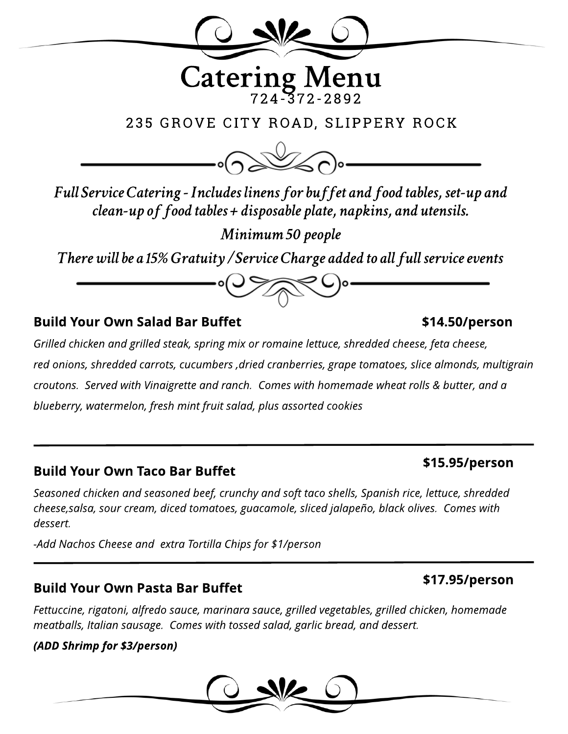

**FullServiceCatering-Includeslinensfor buffetandfoodtables,set-upand clean-upof foodtables+disposableplate,napkins,andutensils.**

**Minimum 50 people** 

There will be a 15% Gratuity / Service Charge added to all full service events

#### Build Your Own Salad Bar Buffet

**Grilled chicken and grilled steak, spring mix or romaine lettuce, shredded cheese, feta cheese, red onions, shredded carrots, cucumbers,dried cranberries, grape tomatoes, slice almonds, multigrain croutons. Served with Vinaigrette and ranch. Comeswith homemade wheat rolls& butter, and a blueberry, watermelon, fresh mint fruit salad, plusassorted cookies**

#### Build Your Own Taco Bar Buffet

**Seasoned chicken and seasoned beef, crunchy and soft taco shells, Spanish rice, lettuce, shredded cheese,salsa, sour cream, diced tomatoes, guacamole, sliced jalapeño, black olives. Comeswith dessert.**

**-Add NachosCheese and extra Tortilla Chipsfor \$1/person**

#### **Build Your Own Pasta Bar Buffet**

**Fettuccine, rigatoni, alfredo sauce, marinara sauce, grilled vegetables, grilled chicken, homemade meatballs, Italian sausage. Comeswith tossed salad, garlicbread, and dessert.**

#### **(ADD Shrimp for \$3/person)**



### \$15.95/person

#### \$17.95/person

# \$14.50/person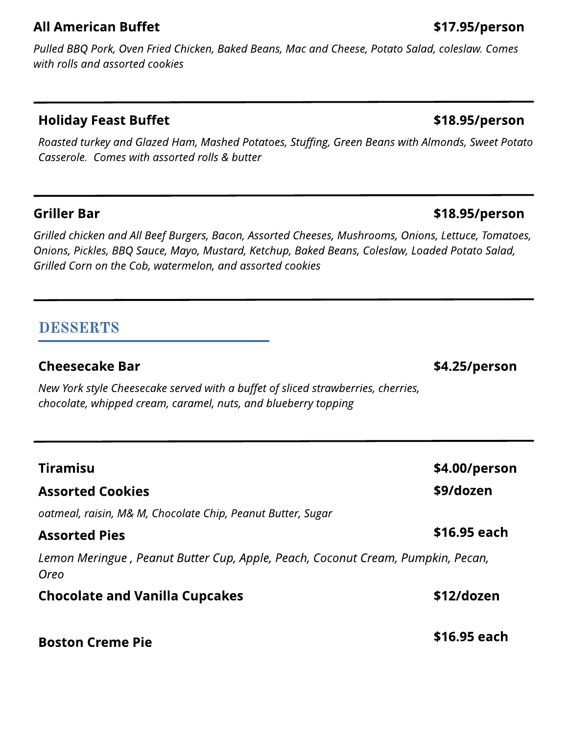#### **All American Buffet**

**Pulled BBQ Pork, Oven Fried Chicken, Baked Beans, Mac and Cheese, Potato Salad, coleslaw. Comes with rollsand assorted cookies**

#### Holiday Feast Buffet

**Roasted turkey and Glazed Ham, Mashed Potatoes, Stuffing, Green Beanswith Almonds, Sweet Potato Casserole. Comeswith assorted rolls& butter**

#### Griller Bar

**Grilled chicken and All Beef Burgers, Bacon, Assorted Cheeses, Mushrooms, Onions, Lettuce, Tomatoes, Onions, Pickles, BBQ Sauce, Mayo, Mustard, Ketchup, Baked Beans, Coleslaw, Loaded Potato Salad, Grilled Corn on the Cob, watermelon, and assorted cookies**

### DESSERTS

#### Cheesecake Bar

**New York style Cheesecake served with a buffet of sliced strawberries, cherries, chocolate, whipped cream, caramel, nuts, and blueberry topping**

| <b>Tiramisu</b><br><b>Assorted Cookies</b>                                              | \$4.00/person<br>\$9/dozen |
|-----------------------------------------------------------------------------------------|----------------------------|
| oatmeal, raisin, M& M, Chocolate Chip, Peanut Butter, Sugar                             |                            |
| <b>Assorted Pies</b>                                                                    | \$16.95 each               |
| Lemon Meringue, Peanut Butter Cup, Apple, Peach, Coconut Cream, Pumpkin, Pecan,<br>Oreo |                            |
| <b>Chocolate and Vanilla Cupcakes</b>                                                   | \$12/dozen                 |
| <b>Boston Creme Pie</b>                                                                 | \$16.95 each               |

#### \$18.95/person

\$18.95/person

#### \$4.25/person

\$17.95/person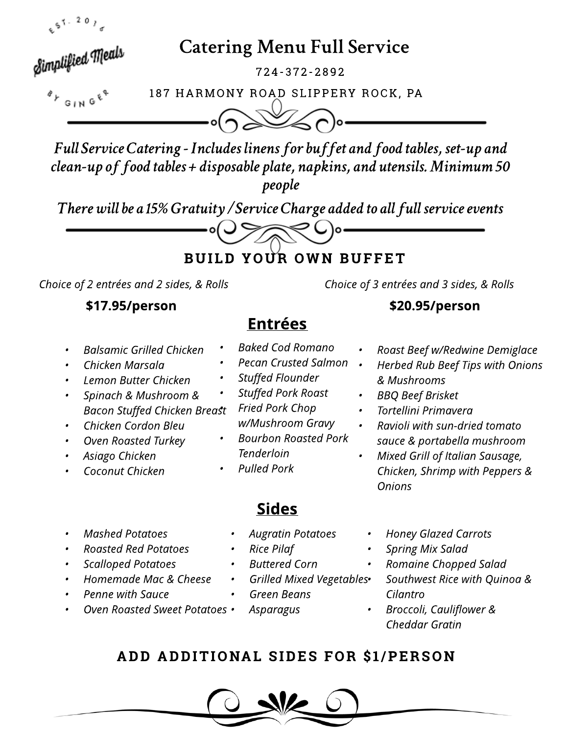

# **Catering Menu Full Service**

7 2 4 - 37 2 - 2 8 9 2

Simplified Meals

187 HARMONY ROAD SLIPPERY ROCK, PA

**FullServiceCatering-Includeslinensfor buffetandfoodtables,set-upand clean-upof foodtables+disposableplate,napkins,andutensils.Minimum50 people**

**There will be a 15% Gratuity / Service Charge added to all full service events** 

BUILD YOUR OWN BUFFET

╲Ҿし)∘

**Choice of 2 entréesand 2 sides, & Rolls Choice of 3 entréesand 3 sides, & Rolls**

- **- BalsamicGrilled Chicken**
- **- Chicken Marsala**
- **- Lemon Butter Chicken**
- **- Spinach & Mushroom & Bacon Stuffed Chicken Breast**
- **- Chicken Cordon Bleu**
- **- Oven Roasted Turkey**
- **- Asiago Chicken**
- **- Coconut Chicken**
- **- Baked Cod Romano**
- **- Pecan Crusted Salmon**

Entrées

- **- Stuffed Flounder**
	- **- Stuffed Pork Roast - Fried Pork Chop w/Mushroom Gravy**
- **- Bourbon Roasted Pork Tenderloin**
- **- Pulled Pork**

### \$17.95/person \$20.95/person

- **- Roast Beef w/Redwine Demiglace**
- **- Herbed Rub Beef Tipswith Onions & Mushrooms**
- **- BBQ Beef Brisket**
- **- Tortellini Primavera**
- **- Ravioli with sun-dried tomato sauce & portabella mushroom**
	- **- Mixed Grill of Italian Sausage, Chicken, Shrimp with Peppers& Onions**

- **- Mashed Potatoes**
- **- Roasted Red Potatoes**
- **- Scalloped Potatoes**
- **- Homemade Mac & Cheese**
- **- Penne with Sauce**
- **- Oven Roasted Sweet Potatoes**
- **- Augratin Potatoes**
- **- Rice Pilaf**
- **- Buttered Corn**
- **- Grilled Mixed Vegetables**
- **- Green Beans**
	- **- Asparagus**
- **- Honey Glazed Carrots**
- **- Spring Mix Salad**
- **- Romaine Chopped Salad**
- **- Southwest Rice with Quinoa & Cilantro**
- **- Broccoli, Cauliflower & Cheddar Gratin**

## ADD ADDITIONAL SIDES FOR \$1/PERSON

Sides